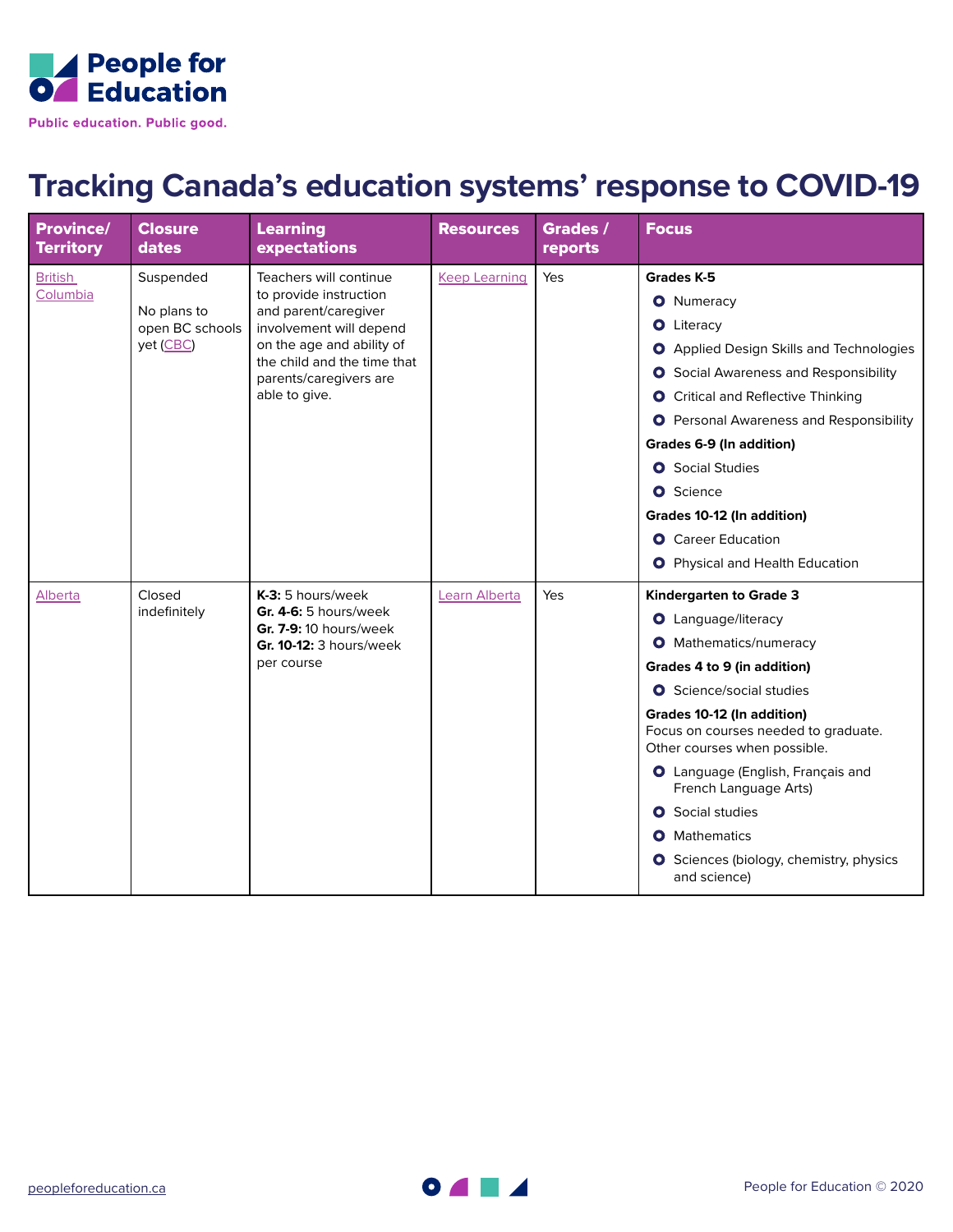

## **Tracking Canada's education systems' response to COVID-19**

| <b>Province/</b><br><b>Territory</b> | <b>Closure</b><br>dates                                  | <b>Learning</b><br>expectations                                                                                                                                                                            | <b>Resources</b>     | Grades /<br>reports | <b>Focus</b>                                                                                                                                                                                                                                                                                                                                                                                                                                             |
|--------------------------------------|----------------------------------------------------------|------------------------------------------------------------------------------------------------------------------------------------------------------------------------------------------------------------|----------------------|---------------------|----------------------------------------------------------------------------------------------------------------------------------------------------------------------------------------------------------------------------------------------------------------------------------------------------------------------------------------------------------------------------------------------------------------------------------------------------------|
| <b>British</b><br>Columbia           | Suspended<br>No plans to<br>open BC schools<br>yet (CBC) | Teachers will continue<br>to provide instruction<br>and parent/caregiver<br>involvement will depend<br>on the age and ability of<br>the child and the time that<br>parents/caregivers are<br>able to give. | <b>Keep Learning</b> | Yes                 | <b>Grades K-5</b><br><b>O</b> Numeracy<br><b>O</b> Literacy<br><b>O</b> Applied Design Skills and Technologies<br><b>O</b> Social Awareness and Responsibility<br><b>O</b> Critical and Reflective Thinking<br><b>O</b> Personal Awareness and Responsibility<br>Grades 6-9 (In addition)<br><b>O</b> Social Studies<br><b>O</b> Science<br>Grades 10-12 (In addition)<br><b>O</b> Career Education<br><b>O</b> Physical and Health Education            |
| Alberta                              | Closed<br>indefinitely                                   | $K-3:5$ hours/week<br>Gr. 4-6: 5 hours/week<br>Gr. 7-9: 10 hours/week<br>Gr. 10-12: 3 hours/week<br>per course                                                                                             | Learn Alberta        | Yes                 | Kindergarten to Grade 3<br><b>O</b> Language/literacy<br><b>O</b> Mathematics/numeracy<br>Grades 4 to 9 (in addition)<br><b>O</b> Science/social studies<br>Grades 10-12 (In addition)<br>Focus on courses needed to graduate.<br>Other courses when possible.<br><b>O</b> Language (English, Français and<br>French Language Arts)<br><b>O</b> Social studies<br><b>O</b> Mathematics<br><b>O</b> Sciences (biology, chemistry, physics<br>and science) |

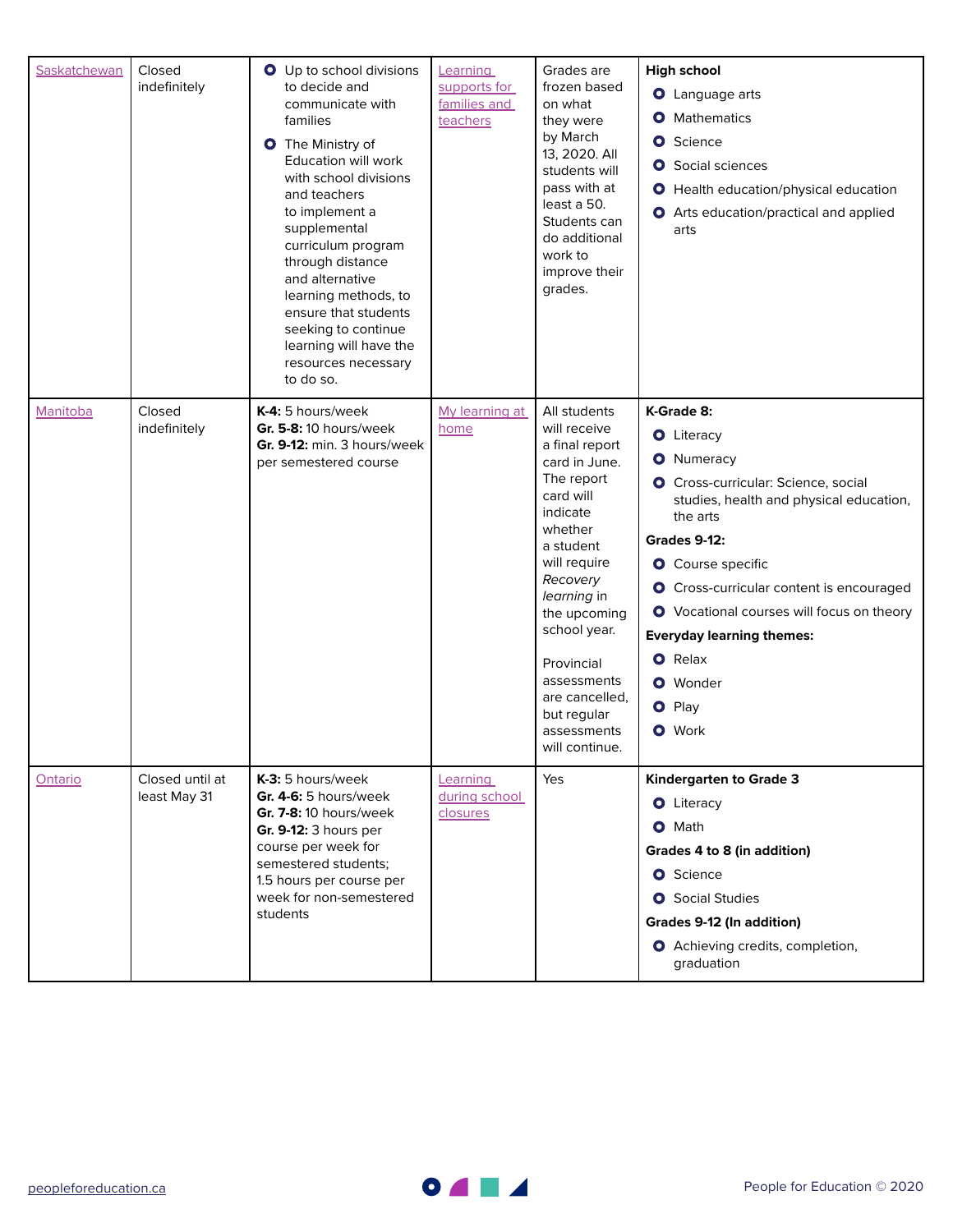| Saskatchewan | Closed<br>indefinitely          | O Up to school divisions<br>to decide and<br>communicate with<br>families<br><b>O</b> The Ministry of<br>Education will work<br>with school divisions<br>and teachers<br>to implement a<br>supplemental<br>curriculum program<br>through distance<br>and alternative<br>learning methods, to<br>ensure that students<br>seeking to continue<br>learning will have the<br>resources necessary<br>to do so. | Learning<br>supports for<br>families and<br>teachers | Grades are<br>frozen based<br>on what<br>they were<br>by March<br>13, 2020. All<br>students will<br>pass with at<br>least a 50.<br>Students can<br>do additional<br>work to<br>improve their<br>grades.                                                                                                  | <b>High school</b><br><b>O</b> Language arts<br><b>O</b> Mathematics<br><b>O</b> Science<br><b>O</b> Social sciences<br><b>O</b> Health education/physical education<br><b>O</b> Arts education/practical and applied<br>arts                                                                                                                                                                             |
|--------------|---------------------------------|-----------------------------------------------------------------------------------------------------------------------------------------------------------------------------------------------------------------------------------------------------------------------------------------------------------------------------------------------------------------------------------------------------------|------------------------------------------------------|----------------------------------------------------------------------------------------------------------------------------------------------------------------------------------------------------------------------------------------------------------------------------------------------------------|-----------------------------------------------------------------------------------------------------------------------------------------------------------------------------------------------------------------------------------------------------------------------------------------------------------------------------------------------------------------------------------------------------------|
| Manitoba     | Closed<br>indefinitely          | K-4: 5 hours/week<br>Gr. 5-8: 10 hours/week<br>Gr. 9-12: min. 3 hours/week<br>per semestered course                                                                                                                                                                                                                                                                                                       | My learning at<br>home                               | All students<br>will receive<br>a final report<br>card in June.<br>The report<br>card will<br>indicate<br>whether<br>a student<br>will require<br>Recovery<br>learning in<br>the upcoming<br>school year.<br>Provincial<br>assessments<br>are cancelled,<br>but regular<br>assessments<br>will continue. | K-Grade 8:<br><b>O</b> Literacy<br><b>O</b> Numeracy<br><b>O</b> Cross-curricular: Science, social<br>studies, health and physical education,<br>the arts<br><b>Grades 9-12:</b><br><b>O</b> Course specific<br><b>O</b> Cross-curricular content is encouraged<br>O Vocational courses will focus on theory<br><b>Everyday learning themes:</b><br>O Relax<br><b>O</b> Wonder<br>O Play<br><b>O</b> Work |
| Ontario      | Closed until at<br>least May 31 | K-3: 5 hours/week<br>Gr. 4-6: 5 hours/week<br><b>Gr. 7-8:</b> 10 hours/week<br>Gr. 9-12: 3 hours per<br>course per week for<br>semestered students;<br>1.5 hours per course per<br>week for non-semestered<br>students                                                                                                                                                                                    | Learning<br>during school<br>closures                | Yes                                                                                                                                                                                                                                                                                                      | <b>Kindergarten to Grade 3</b><br><b>O</b> Literacy<br>O Math<br>Grades 4 to 8 (in addition)<br><b>O</b> Science<br><b>O</b> Social Studies<br>Grades 9-12 (In addition)<br>O Achieving credits, completion,<br>graduation                                                                                                                                                                                |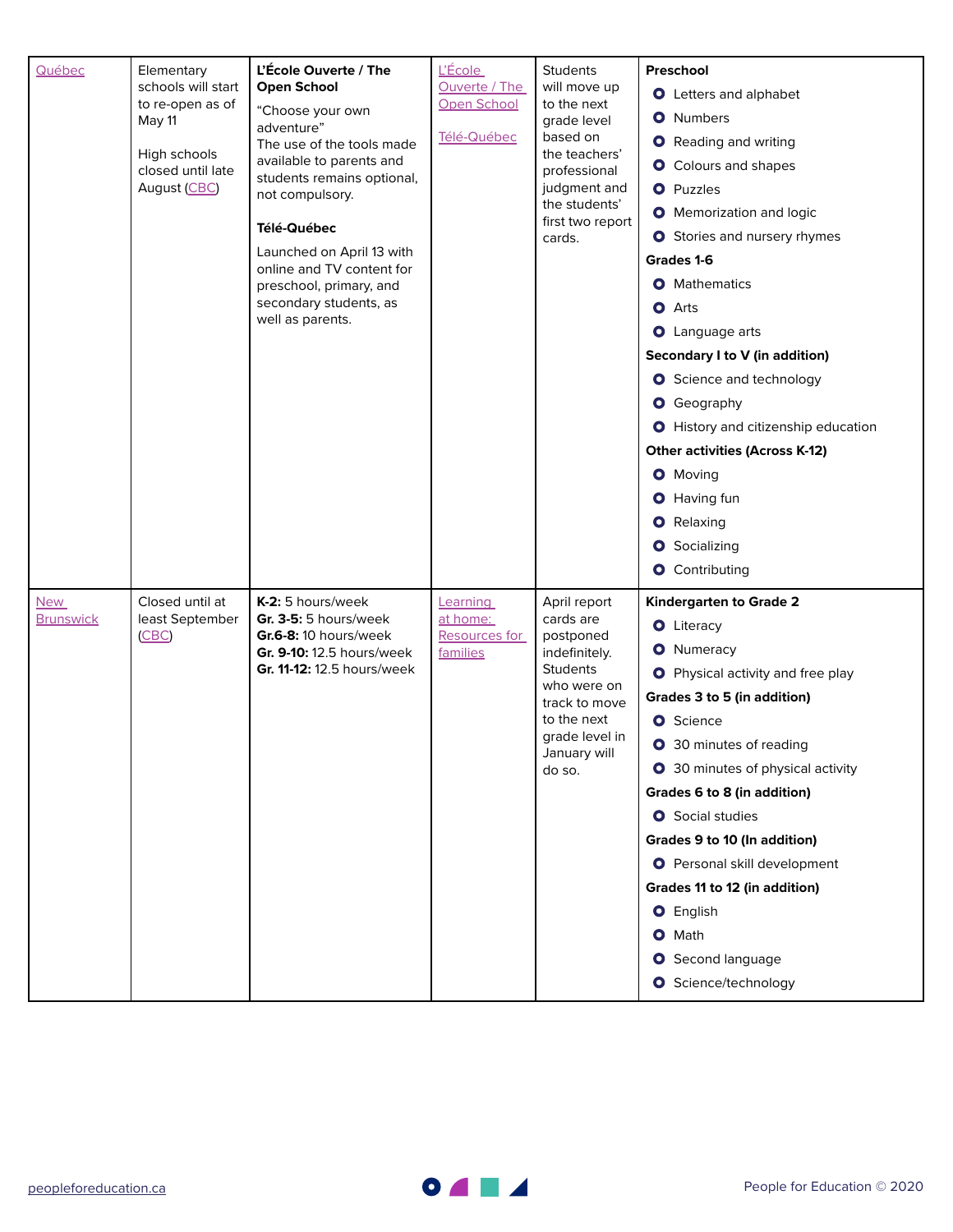| Québec                         | Elementary<br>schools will start<br>to re-open as of<br>May 11<br>High schools<br>closed until late<br>August (CBC) | L'École Ouverte / The<br><b>Open School</b><br>"Choose your own<br>adventure"<br>The use of the tools made<br>available to parents and<br>students remains optional,<br>not compulsory.<br>Télé-Québec<br>Launched on April 13 with<br>online and TV content for<br>preschool, primary, and<br>secondary students, as<br>well as parents. | <u>L'École</u><br><b>Ouverte / The</b><br>Open School<br>Télé-Québec | <b>Students</b><br>will move up<br>to the next<br>grade level<br>based on<br>the teachers'<br>professional<br>judgment and<br>the students'<br>first two report<br>cards. | Preschool<br>O Letters and alphabet<br><b>O</b> Numbers<br><b>O</b> Reading and writing<br>O Colours and shapes<br><b>O</b> Puzzles<br><b>O</b> Memorization and logic<br><b>O</b> Stories and nursery rhymes<br>Grades 1-6<br><b>O</b> Mathematics<br><b>O</b> Arts<br><b>O</b> Language arts<br>Secondary I to V (in addition)<br><b>O</b> Science and technology<br><b>O</b> Geography<br><b>O</b> History and citizenship education<br><b>Other activities (Across K-12)</b><br><b>O</b> Moving<br>O Having fun<br><b>O</b> Relaxing<br>Socializing<br>0.<br><b>O</b> Contributing |
|--------------------------------|---------------------------------------------------------------------------------------------------------------------|-------------------------------------------------------------------------------------------------------------------------------------------------------------------------------------------------------------------------------------------------------------------------------------------------------------------------------------------|----------------------------------------------------------------------|---------------------------------------------------------------------------------------------------------------------------------------------------------------------------|----------------------------------------------------------------------------------------------------------------------------------------------------------------------------------------------------------------------------------------------------------------------------------------------------------------------------------------------------------------------------------------------------------------------------------------------------------------------------------------------------------------------------------------------------------------------------------------|
| <b>New</b><br><b>Brunswick</b> | Closed until at<br>least September<br>(CBC)                                                                         | K-2: 5 hours/week<br>Gr. 3-5: 5 hours/week<br>Gr.6-8: 10 hours/week<br>Gr. 9-10: 12.5 hours/week<br>Gr. 11-12: 12.5 hours/week                                                                                                                                                                                                            | Learning<br>at home:<br><b>Resources for</b><br>families             | April report<br>cards are<br>postponed<br>indefinitely.<br><b>Students</b><br>who were on<br>track to move<br>to the next<br>grade level in<br>January will<br>do so.     | Kindergarten to Grade 2<br><b>O</b> Literacy<br><b>O</b> Numeracy<br><b>O</b> Physical activity and free play<br>Grades 3 to 5 (in addition)<br><b>O</b> Science<br><b>O</b> 30 minutes of reading<br>O 30 minutes of physical activity<br>Grades 6 to 8 (in addition)<br><b>O</b> Social studies<br>Grades 9 to 10 (In addition)<br><b>O</b> Personal skill development<br>Grades 11 to 12 (in addition)<br><b>O</b> English<br>O Math<br>Second language<br>Ο<br><b>O</b> Science/technology                                                                                         |

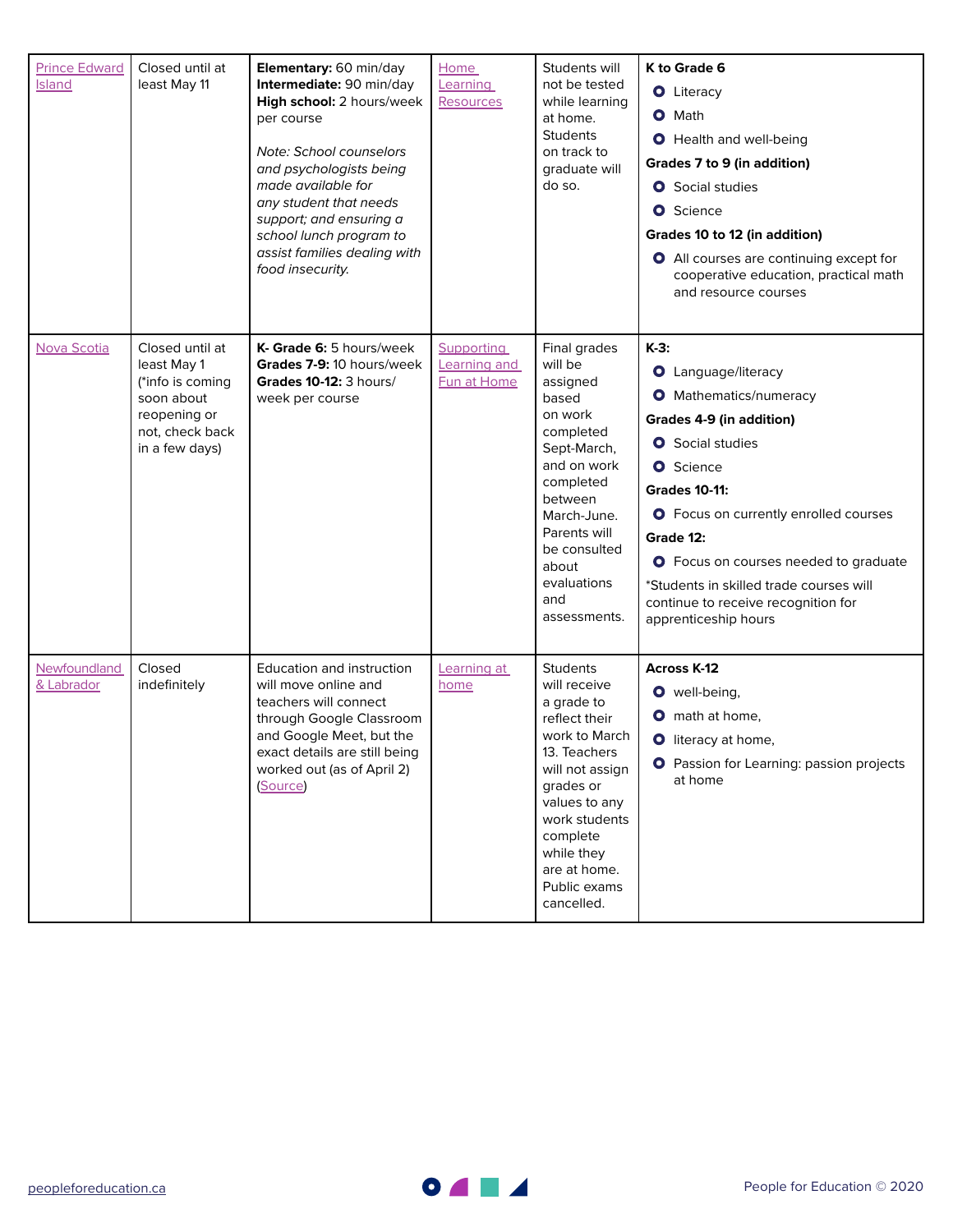| <b>Prince Edward</b><br><b>Island</b> | Closed until at<br>least May 11                                                                                       | Elementary: 60 min/day<br>Intermediate: 90 min/day<br>High school: 2 hours/week<br>per course<br>Note: School counselors<br>and psychologists being<br>made available for<br>any student that needs<br>support; and ensuring a<br>school lunch program to<br>assist families dealing with<br>food insecurity. | <b>Home</b><br>Learning<br>Resources      | Students will<br>not be tested<br>while learning<br>at home.<br><b>Students</b><br>on track to<br>graduate will<br>do so.                                                                                                                 | K to Grade 6<br><b>O</b> Literacy<br><b>O</b> Math<br><b>O</b> Health and well-being<br>Grades 7 to 9 (in addition)<br><b>O</b> Social studies<br><b>O</b> Science<br>Grades 10 to 12 (in addition)<br>O All courses are continuing except for<br>cooperative education, practical math<br>and resource courses                                                                                  |
|---------------------------------------|-----------------------------------------------------------------------------------------------------------------------|---------------------------------------------------------------------------------------------------------------------------------------------------------------------------------------------------------------------------------------------------------------------------------------------------------------|-------------------------------------------|-------------------------------------------------------------------------------------------------------------------------------------------------------------------------------------------------------------------------------------------|--------------------------------------------------------------------------------------------------------------------------------------------------------------------------------------------------------------------------------------------------------------------------------------------------------------------------------------------------------------------------------------------------|
| Nova Scotia                           | Closed until at<br>least May 1<br>(*info is coming<br>soon about<br>reopening or<br>not, check back<br>in a few days) | K- Grade 6: 5 hours/week<br>Grades 7-9: 10 hours/week<br><b>Grades 10-12: 3 hours/</b><br>week per course                                                                                                                                                                                                     | Supporting<br>Learning and<br>Fun at Home | Final grades<br>will be<br>assigned<br>based<br>on work<br>completed<br>Sept-March,<br>and on work<br>completed<br>between<br>March-June.<br>Parents will<br>be consulted<br>about<br>evaluations<br>and<br>assessments.                  | $K-3$ :<br><b>O</b> Language/literacy<br><b>O</b> Mathematics/numeracy<br>Grades 4-9 (in addition)<br><b>O</b> Social studies<br><b>O</b> Science<br><b>Grades 10-11:</b><br><b>O</b> Focus on currently enrolled courses<br>Grade 12:<br><b>O</b> Focus on courses needed to graduate<br>*Students in skilled trade courses will<br>continue to receive recognition for<br>apprenticeship hours |
| Newfoundland<br>& Labrador            | Closed<br>indefinitely                                                                                                | Education and instruction<br>will move online and<br>teachers will connect<br>through Google Classroom<br>and Google Meet, but the<br>exact details are still being<br>worked out (as of April 2)<br>(Source)                                                                                                 | Learning at<br>home                       | <b>Students</b><br>will receive<br>a grade to<br>reflect their<br>work to March<br>13. Teachers<br>will not assign<br>grades or<br>values to any<br>work students<br>complete<br>while they<br>are at home.<br>Public exams<br>cancelled. | <b>Across K-12</b><br>O well-being,<br><b>O</b> math at home,<br><b>O</b> literacy at home,<br><b>O</b> Passion for Learning: passion projects<br>at home                                                                                                                                                                                                                                        |